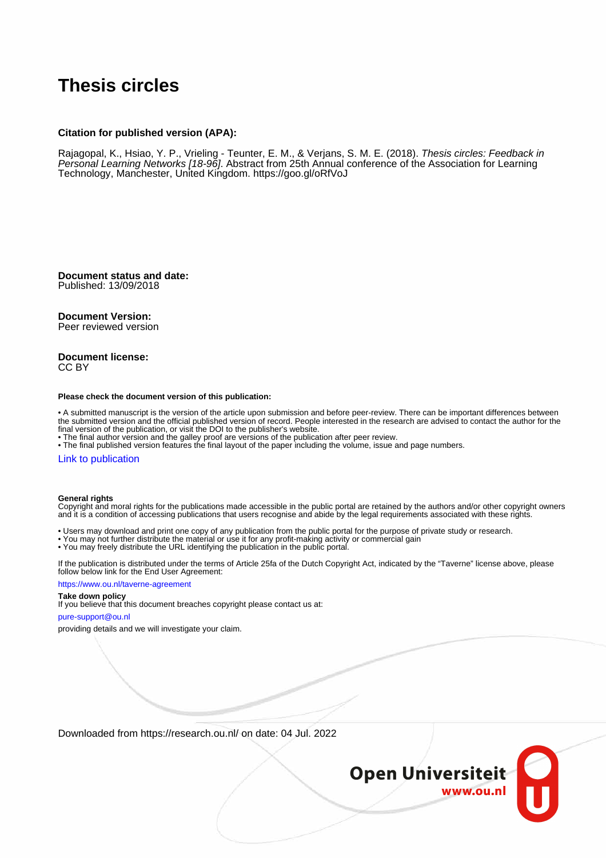#### **Thesis circles**

#### **Citation for published version (APA):**

Rajagopal, K., Hsiao, Y. P., Vrieling - Teunter, E. M., & Verjans, S. M. E. (2018). Thesis circles: Feedback in Personal Learning Networks [18-96]. Abstract from 25th Annual conference of the Association for Learning Technology, Manchester, United Kingdom. <https://goo.gl/oRfVoJ>

**Document status and date:** Published: 13/09/2018

#### **Document Version:**

Peer reviewed version

#### **Document license:** CC BY

#### **Please check the document version of this publication:**

• A submitted manuscript is the version of the article upon submission and before peer-review. There can be important differences between the submitted version and the official published version of record. People interested in the research are advised to contact the author for the final version of the publication, or visit the DOI to the publisher's website.

• The final author version and the galley proof are versions of the publication after peer review.

• The final published version features the final layout of the paper including the volume, issue and page numbers.

#### [Link to publication](https://research.ou.nl/en/publications/efa94f80-8dfd-4743-97cd-13374e6b465f)

#### **General rights**

Copyright and moral rights for the publications made accessible in the public portal are retained by the authors and/or other copyright owners and it is a condition of accessing publications that users recognise and abide by the legal requirements associated with these rights.

- Users may download and print one copy of any publication from the public portal for the purpose of private study or research.
- You may not further distribute the material or use it for any profit-making activity or commercial gain
- You may freely distribute the URL identifying the publication in the public portal.

If the publication is distributed under the terms of Article 25fa of the Dutch Copyright Act, indicated by the "Taverne" license above, please follow below link for the End User Agreement:

#### https://www.ou.nl/taverne-agreement

#### **Take down policy**

If you believe that this document breaches copyright please contact us at:

#### pure-support@ou.nl

providing details and we will investigate your claim.

Downloaded from https://research.ou.nl/ on date: 04 Jul. 2022

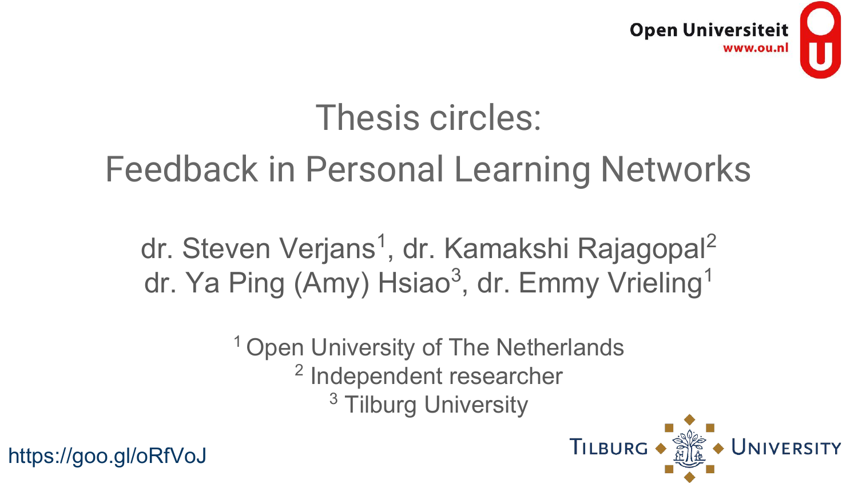

### Thesis circles:

### Feedback in Personal Learning Networks

dr. Steven Verjans<sup>1</sup>, dr. Kamakshi Rajagopal<sup>2</sup> dr. Ya Ping (Amy) Hsiao<sup>3</sup>, dr. Emmy Vrieling<sup>1</sup>

<sup>1</sup> Open University of The Netherlands

<sup>2</sup> Independent researcher

<sup>3</sup> Tilburg University

https://goo.gl/oRfVoJ

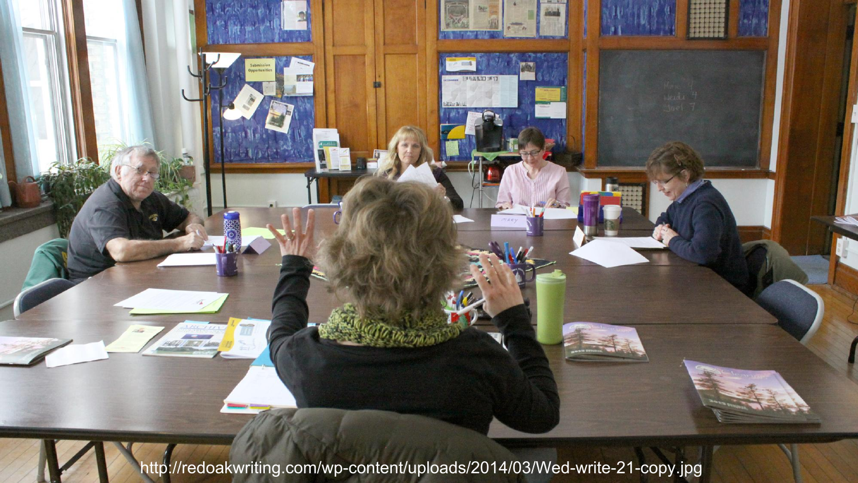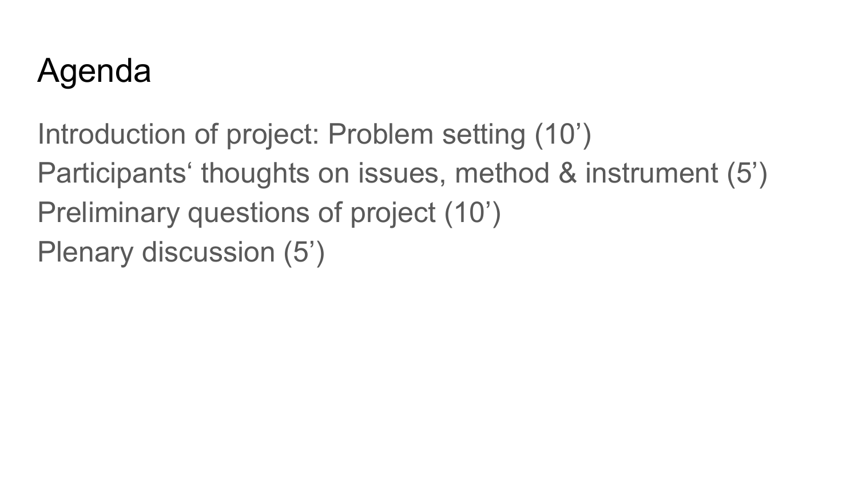### Agenda

Introduction of project: Problem setting (10') Participants' thoughts on issues, method & instrument (5') Preliminary questions of project (10') Plenary discussion (5')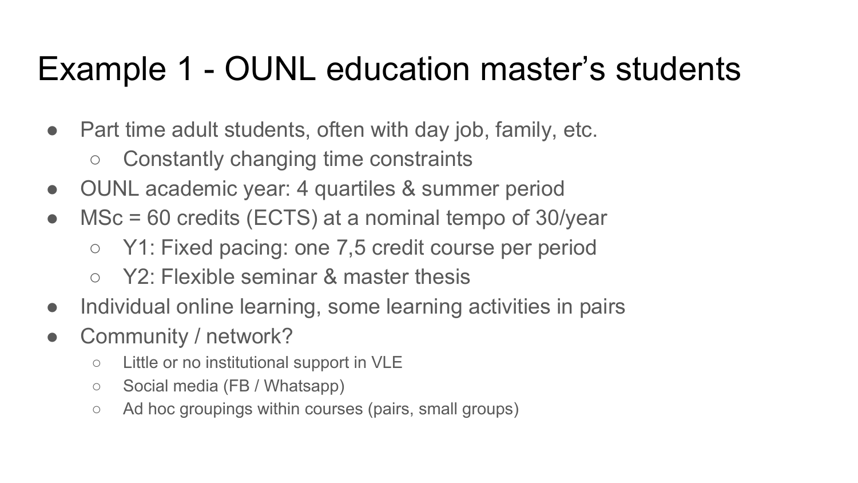### Example 1 - OUNL education master's students

- Part time adult students, often with day job, family, etc.
	- Constantly changing time constraints
- OUNL academic year: 4 quartiles & summer period
- MSc = 60 credits (ECTS) at a nominal tempo of 30/year
	- Y1: Fixed pacing: one 7,5 credit course per period
	- Y2: Flexible seminar & master thesis
- Individual online learning, some learning activities in pairs
- Community / network?
	- Little or no institutional support in VLE
	- Social media (FB / Whatsapp)
	- Ad hoc groupings within courses (pairs, small groups)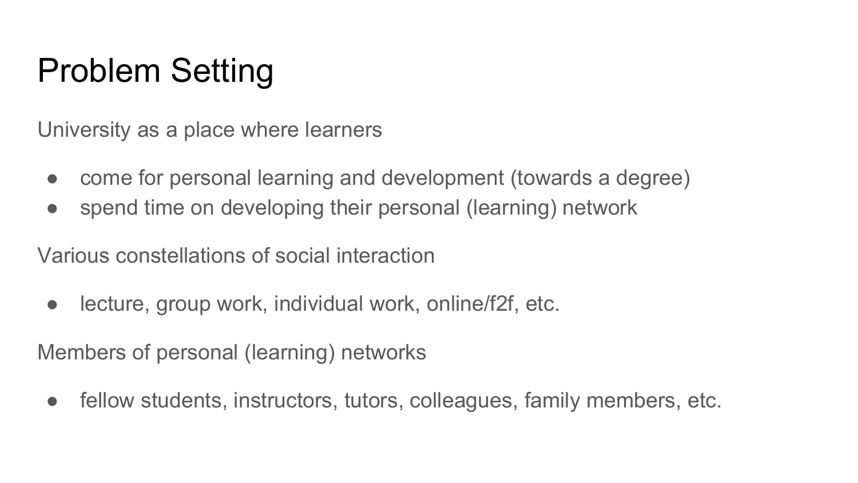### Problem Setting

University as a place where learners

- come for personal learning and development (towards a degree)
- spend time on developing their personal (learning) network

Various constellations of social interaction

• lecture, group work, individual work, online/f2f, etc.

Members of personal (learning) networks

• fellow students, instructors, tutors, colleagues, family members, etc.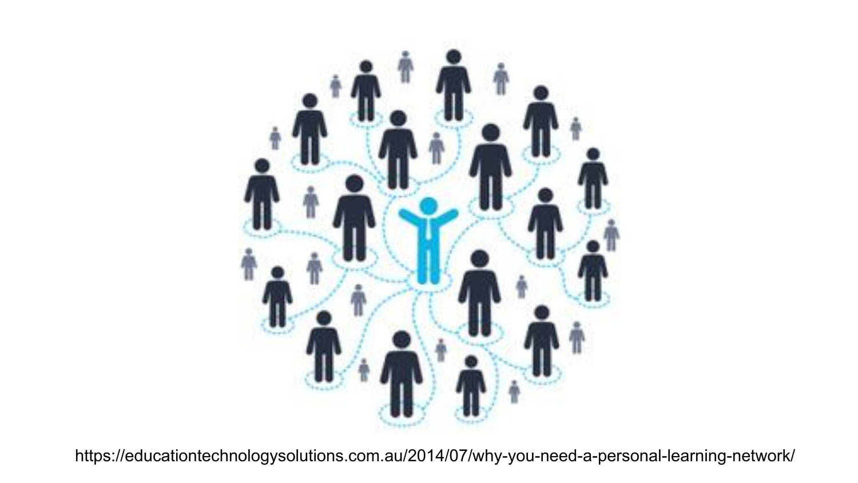

https://educationtechnologysolutions.com.au/2014/07/why-you-need-a-personal-learning-network/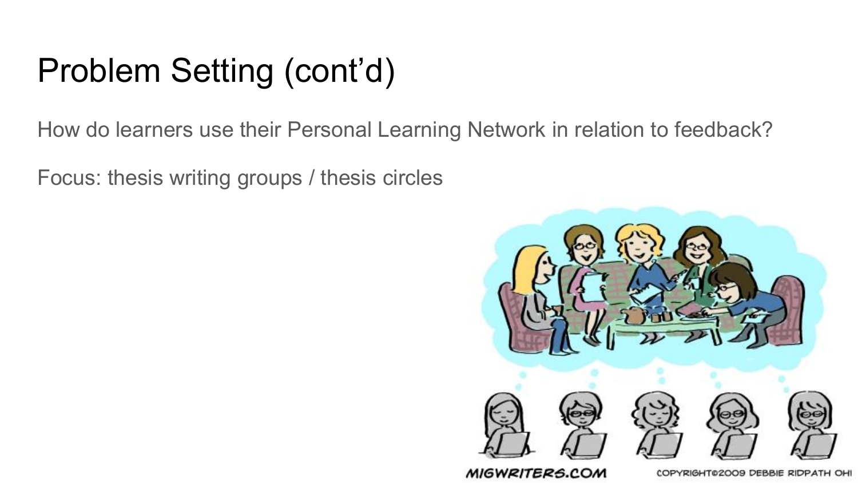### Problem Setting (cont'd)

How do learners use their Personal Learning Network in relation to feedback?

Focus: thesis writing groups / thesis circles



MIGWRITERS.COM

COPYRIGHT02009 DEBBIE RIDPATH OHI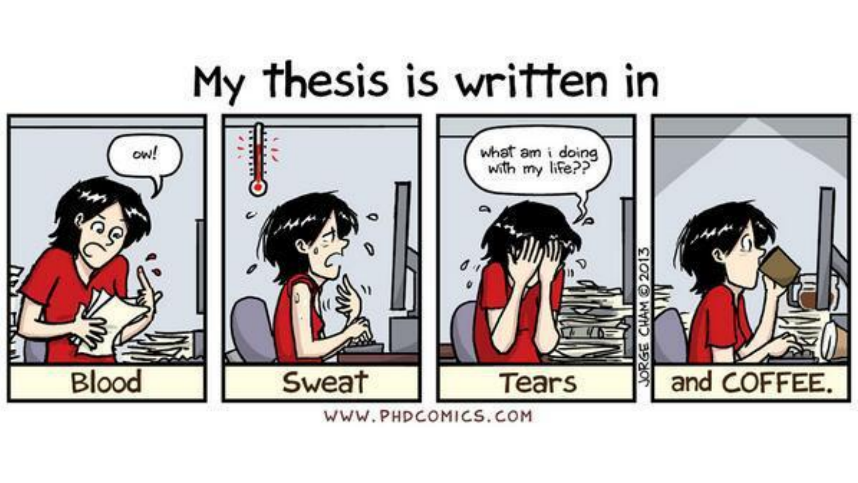## My thesis is written in



WWW.PHDCOMICS.COM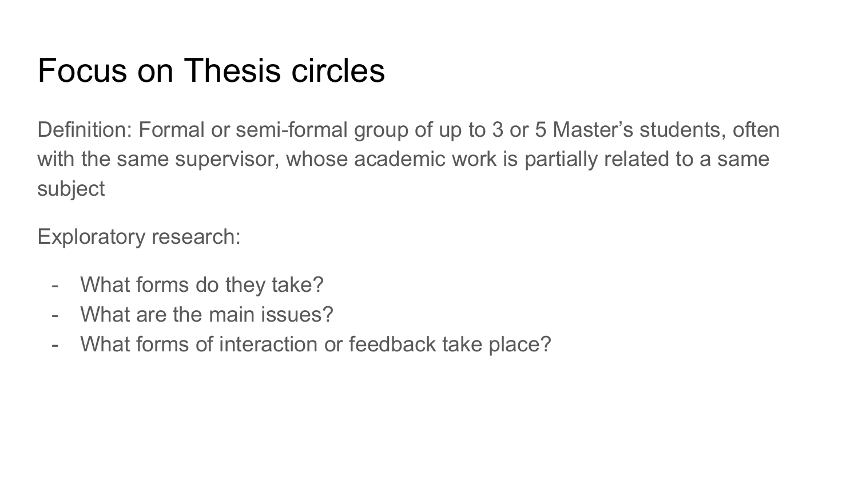#### Focus on Thesis circles

Definition: Formal or semi-formal group of up to 3 or 5 Master's students, often with the same supervisor, whose academic work is partially related to a same subject

Exploratory research:

- What forms do they take?
- What are the main issues?
- What forms of interaction or feedback take place?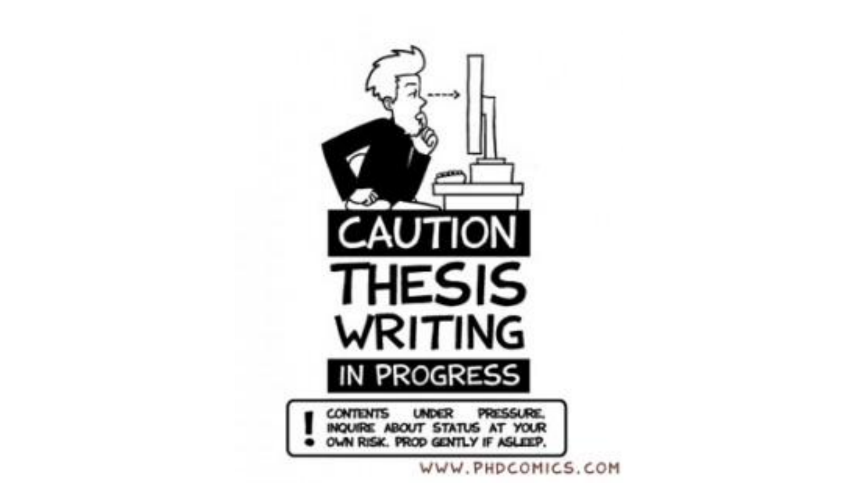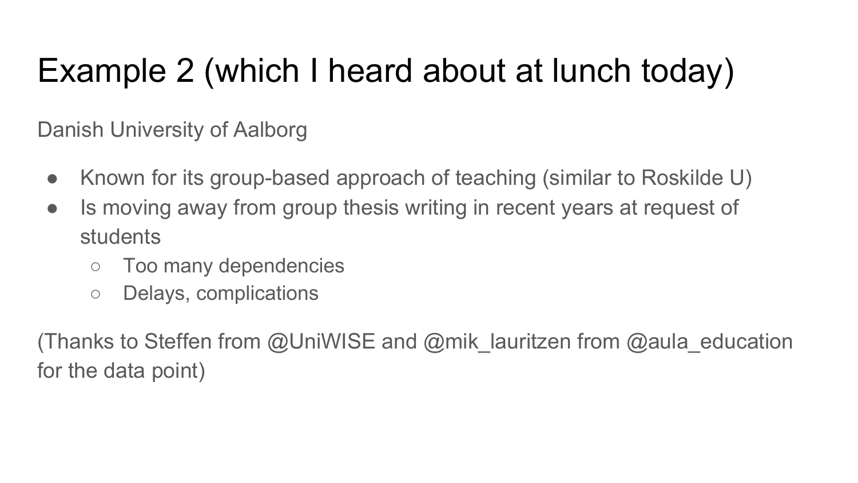### Example 2 (which I heard about at lunch today)

Danish University of Aalborg

- Known for its group-based approach of teaching (similar to Roskilde U)
- Is moving away from group thesis writing in recent years at request of students
	- Too many dependencies
	- Delays, complications

(Thanks to Steffen from @UniWISE and @mik\_lauritzen from @aula\_education for the data point)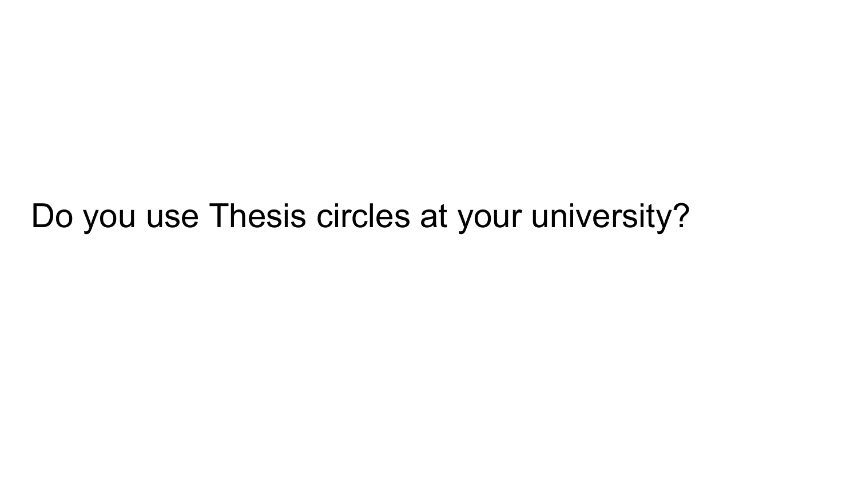Do you use Thesis circles at your university?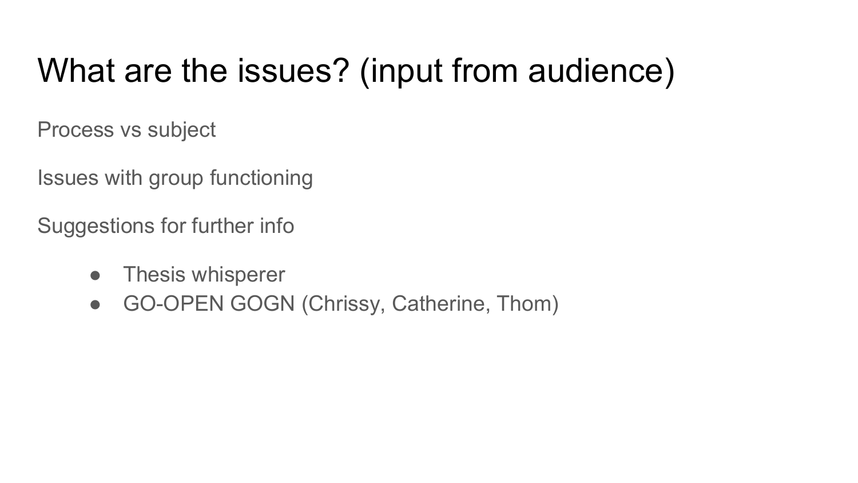### What are the issues? (input from audience)

Process vs subject

Issues with group functioning

Suggestions for further info

- Thesis whisperer
- GO-OPEN GOGN (Chrissy, Catherine, Thom)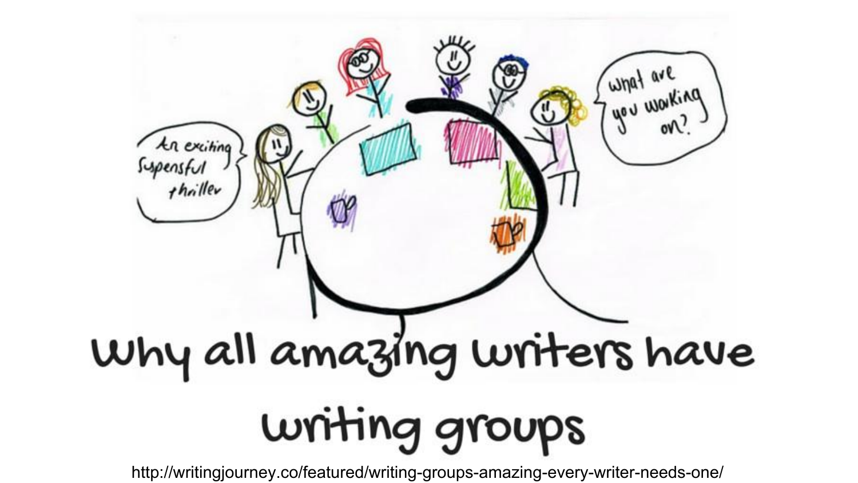# Junat are<br>Junat are  $\sqrt{2}$ An exiting<br>Supersful<br>thailler Why all amazing writers have writing groups

http://writingjourney.co/featured/writing-groups-amazing-every-writer-needs-one/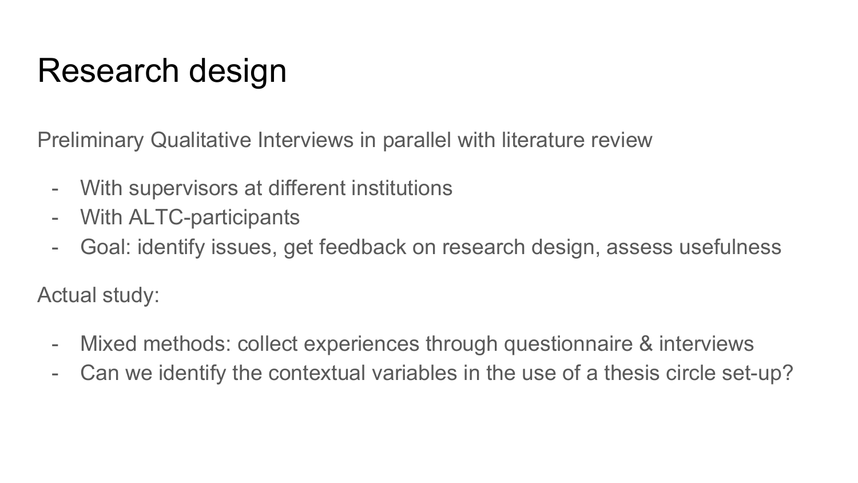### Research design

Preliminary Qualitative Interviews in parallel with literature review

- With supervisors at different institutions
- With ALTC-participants
- Goal: identify issues, get feedback on research design, assess usefulness

Actual study:

- Mixed methods: collect experiences through questionnaire & interviews
- Can we identify the contextual variables in the use of a thesis circle set-up?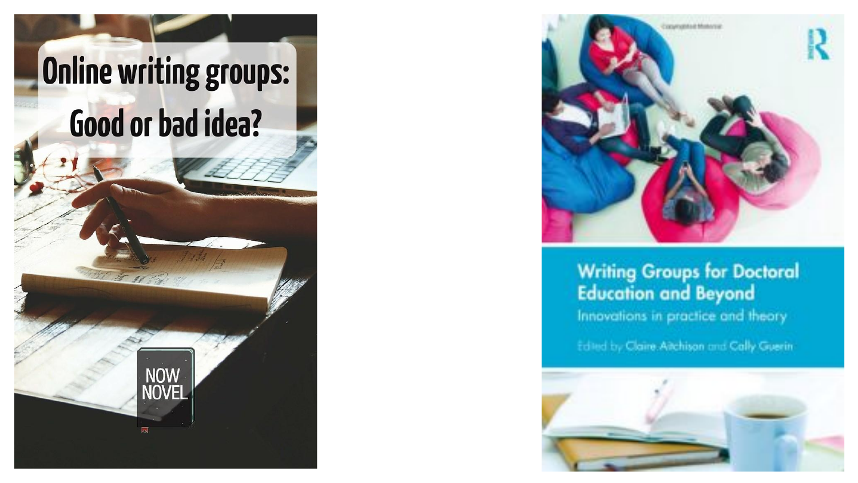



#### **Writing Groups for Doctoral Education and Beyond**

Innovations in practice and theory

Edited by Claire Aitchison and Cally Guerin

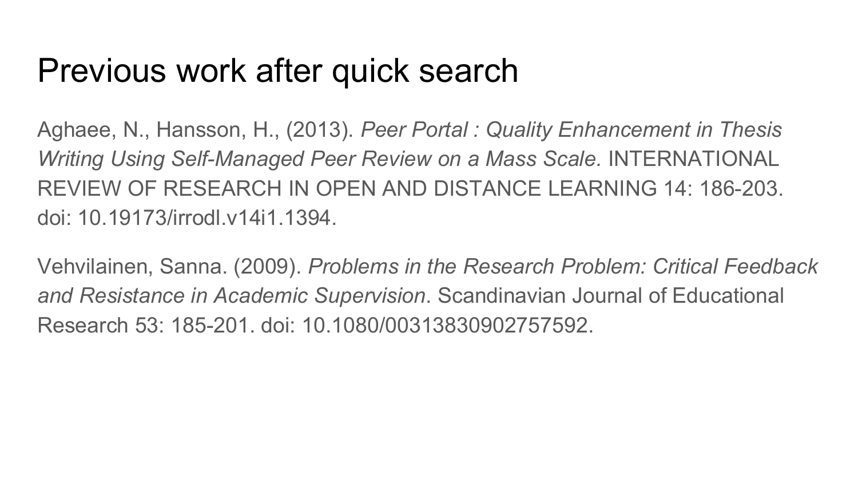#### Previous work after quick search

Aghaee, N., Hansson, H., (2013). *Peer Portal : Quality Enhancement in Thesis Writing Using Self-Managed Peer Review on a Mass Scale.* INTERNATIONAL REVIEW OF RESEARCH IN OPEN AND DISTANCE LEARNING 14: 186-203. doi: 10.19173/irrodl.v14i1.1394.

Vehvilainen, Sanna. (2009). *Problems in the Research Problem: Critical Feedback and Resistance in Academic Supervision*. Scandinavian Journal of Educational Research 53: 185-201. doi: 10.1080/00313830902757592.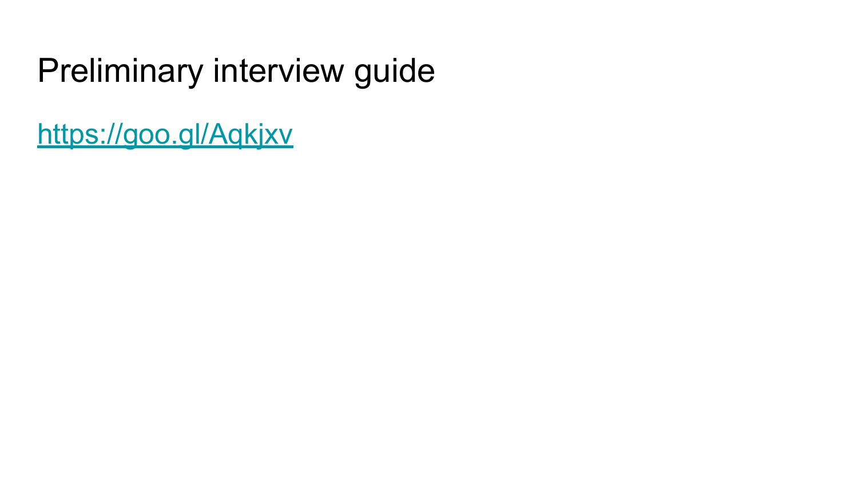### Preliminary interview guide

<https://goo.gl/Aqkjxv>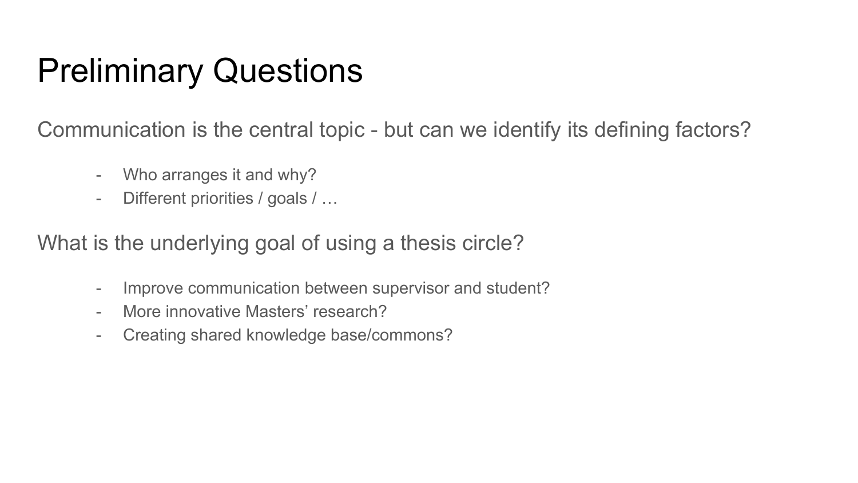### Preliminary Questions

Communication is the central topic - but can we identify its defining factors?

- Who arranges it and why?
- Different priorities / goals / …

What is the underlying goal of using a thesis circle?

- Improve communication between supervisor and student?
- More innovative Masters' research?
- Creating shared knowledge base/commons?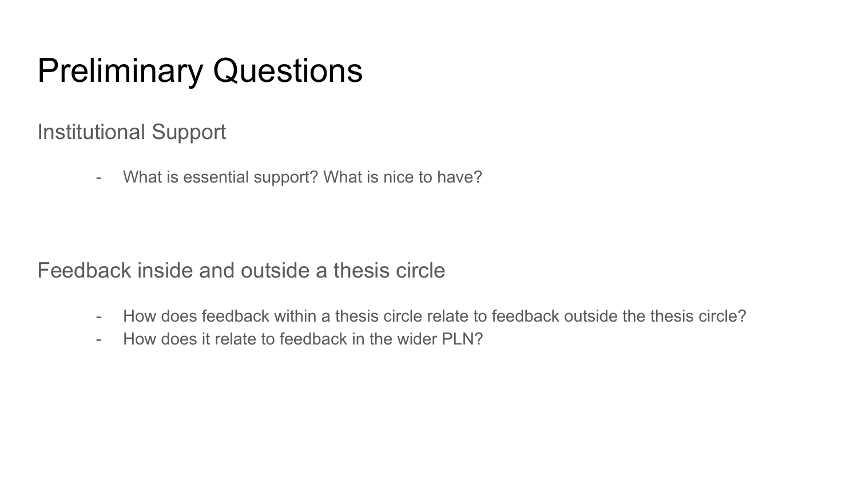### Preliminary Questions

Institutional Support

- What is essential support? What is nice to have?

Feedback inside and outside a thesis circle

- How does feedback within a thesis circle relate to feedback outside the thesis circle?
- How does it relate to feedback in the wider PLN?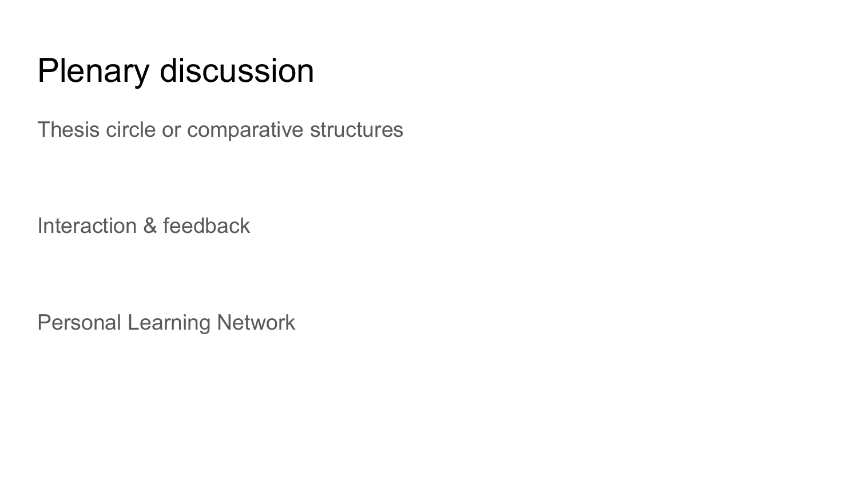### Plenary discussion

Thesis circle or comparative structures

Interaction & feedback

Personal Learning Network